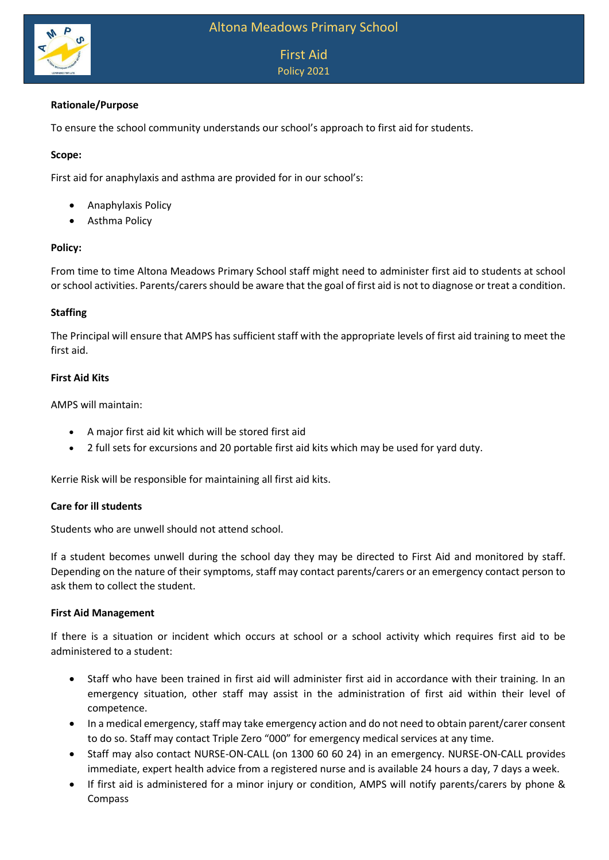

# First Aid Policy 2021

## **Rationale/Purpose**

To ensure the school community understands our school's approach to first aid for students.

### **Scope:**

First aid for anaphylaxis and asthma are provided for in our school's:

- Anaphylaxis Policy
- Asthma Policy

### **Policy:**

From time to time Altona Meadows Primary School staff might need to administer first aid to students at school or school activities. Parents/carers should be aware that the goal of first aid is not to diagnose or treat a condition.

### **Staffing**

The Principal will ensure that AMPS has sufficient staff with the appropriate levels of first aid training to meet the first aid.

### **First Aid Kits**

AMPS will maintain:

- A major first aid kit which will be stored first aid
- 2 full sets for excursions and 20 portable first aid kits which may be used for yard duty.

Kerrie Risk will be responsible for maintaining all first aid kits.

### **Care for ill students**

Students who are unwell should not attend school.

If a student becomes unwell during the school day they may be directed to First Aid and monitored by staff. Depending on the nature of their symptoms, staff may contact parents/carers or an emergency contact person to ask them to collect the student.

### **First Aid Management**

If there is a situation or incident which occurs at school or a school activity which requires first aid to be administered to a student:

- Staff who have been trained in first aid will administer first aid in accordance with their training. In an emergency situation, other staff may assist in the administration of first aid within their level of competence.
- In a medical emergency, staff may take emergency action and do not need to obtain parent/carer consent to do so. Staff may contact Triple Zero "000" for emergency medical services at any time.
- Staff may also contact NURSE-ON-CALL (on 1300 60 60 24) in an emergency. NURSE-ON-CALL provides immediate, expert health advice from a registered nurse and is available 24 hours a day, 7 days a week.
- If first aid is administered for a minor injury or condition, AMPS will notify parents/carers by phone & Compass